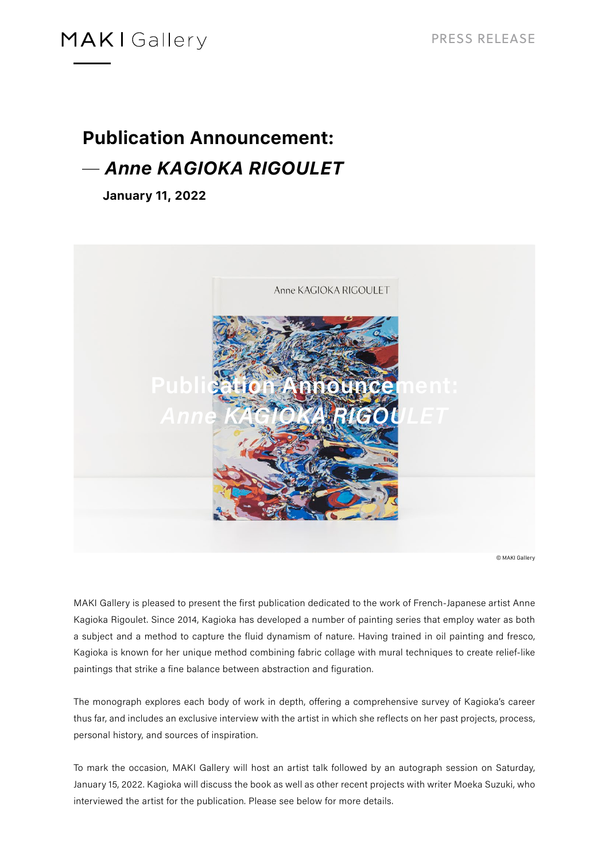### **MAKI** Gallery

# **Publication Announcement: ̶** *Anne KAGIOKA RIGOULET*

**January 11, 2022**



© MAKI Gallery

MAKI Gallery is pleased to present the first publication dedicated to the work of French-Japanese artist Anne Kagioka Rigoulet. Since 2014, Kagioka has developed a number of painting series that employ water as both a subject and a method to capture the fluid dynamism of nature. Having trained in oil painting and fresco, Kagioka is known for her unique method combining fabric collage with mural techniques to create relief-like paintings that strike a fine balance between abstraction and figuration.

The monograph explores each body of work in depth, offering a comprehensive survey of Kagioka's career thus far, and includes an exclusive interview with the artist in which she reflects on her past projects, process, personal history, and sources of inspiration.

To mark the occasion, MAKI Gallery will host an artist talk followed by an autograph session on Saturday, January 15, 2022. Kagioka will discuss the book as well as other recent projects with writer Moeka Suzuki, who interviewed the artist for the publication. Please see below for more details.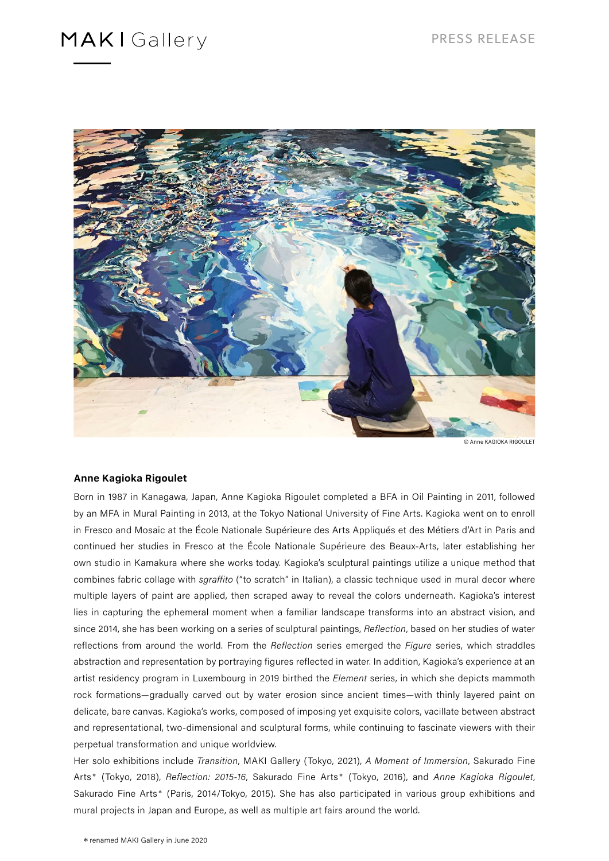### **MAKI**Gallery



© Anne KAGIOKA RIGOULET

#### **Anne Kagioka Rigoulet**

Born in 1987 in Kanagawa, Japan, Anne Kagioka Rigoulet completed a BFA in Oil Painting in 2011, followed by an MFA in Mural Painting in 2013, at the Tokyo National University of Fine Arts. Kagioka went on to enroll in Fresco and Mosaic at the École Nationale Supérieure des Arts Appliqués et des Métiers d'Art in Paris and continued her studies in Fresco at the École Nationale Supérieure des Beaux-Arts, later establishing her own studio in Kamakura where she works today. Kagioka's sculptural paintings utilize a unique method that combines fabric collage with sgraffito ("to scratch" in Italian), a classic technique used in mural decor where multiple layers of paint are applied, then scraped away to reveal the colors underneath. Kagioka's interest lies in capturing the ephemeral moment when a familiar landscape transforms into an abstract vision, and since 2014, she has been working on a series of sculptural paintings, Reflection, based on her studies of water reflections from around the world. From the Reflection series emerged the Figure series, which straddles abstraction and representation by portraying figures reflected in water. In addition, Kagioka's experience at an artist residency program in Luxembourg in 2019 birthed the Element series, in which she depicts mammoth rock formations—gradually carved out by water erosion since ancient times—with thinly layered paint on delicate, bare canvas. Kagioka's works, composed of imposing yet exquisite colors, vacillate between abstract and representational, two-dimensional and sculptural forms, while continuing to fascinate viewers with their perpetual transformation and unique worldview.

Her solo exhibitions include Transition, MAKI Gallery (Tokyo, 2021), A Moment of Immersion, Sakurado Fine Arts\* (Tokyo, 2018), Reflection: 2015-16, Sakurado Fine Arts\* (Tokyo, 2016), and Anne Kagioka Rigoulet, Sakurado Fine Arts\* (Paris, 2014/Tokyo, 2015). She has also participated in various group exhibitions and mural projects in Japan and Europe, as well as multiple art fairs around the world.